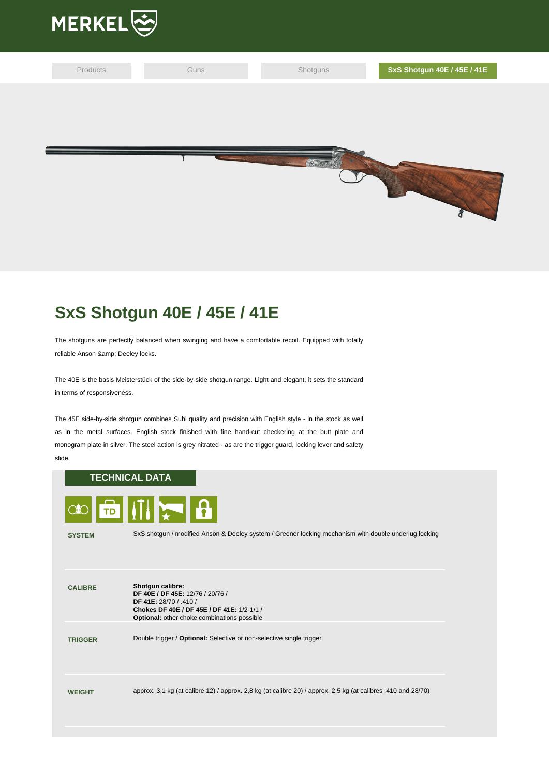

| Products | Guns | Shotguns | SxS Shotgun 40E / 45E / 41E |
|----------|------|----------|-----------------------------|
|          |      |          |                             |
|          |      |          |                             |
|          |      |          |                             |
|          |      |          |                             |
|          |      |          |                             |

## **SxS Shotgun 40E / 45E / 41E**

The shotguns are perfectly balanced when swinging and have a comfortable recoil. Equipped with totally reliable Anson & amp; Deeley locks.

The 40E is the basis Meisterstück of the side-by-side shotgun range. Light and elegant, it sets the standard in terms of responsiveness.

The 45E side-by-side shotgun combines Suhl quality and precision with English style - in the stock as well as in the metal surfaces. English stock finished with fine hand-cut checkering at the butt plate and monogram plate in silver. The steel action is grey nitrated - as are the trigger guard, locking lever and safety slide.

## **TECHNICAL DATA**



**SYSTEM** SxS shotgun / modified Anson & Deeley system / Greener locking mechanism with double underlug locking

| <b>CALIBRE</b> | Shotgun calibre:<br>DF 40E / DF 45E: 12/76 / 20/76 /<br><b>DF 41E: 28/70 / 410 /</b><br>Chokes DF 40E / DF 45E / DF 41E: 1/2-1/1 /<br><b>Optional:</b> other choke combinations possible |
|----------------|------------------------------------------------------------------------------------------------------------------------------------------------------------------------------------------|
| <b>TRIGGER</b> | Double trigger / Optional: Selective or non-selective single trigger                                                                                                                     |
| <b>WEIGHT</b>  | approx. 3,1 kg (at calibre $12$ ) / approx. 2,8 kg (at calibre $20$ ) / approx. 2,5 kg (at calibres .410 and 28/70)                                                                      |